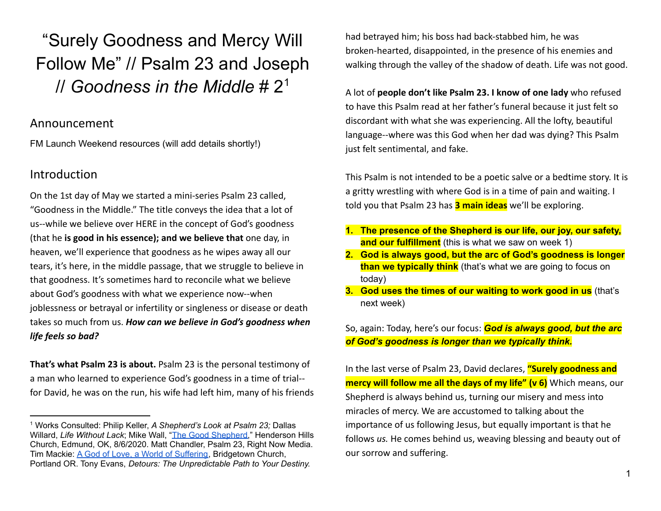"Surely Goodness and Mercy Will Follow Me" // Psalm 23 and Joseph // *Goodness in the Middle* # 2<sup>1</sup>

## Announcement

FM Launch Weekend resources (will add details shortly!)

# **Introduction**

On the 1st day of May we started a mini-series Psalm 23 called, "Goodness in the Middle." The title conveys the idea that a lot of us--while we believe over HERE in the concept of God's goodness (that he **is good in his essence); and we believe that** one day, in heaven, we'll experience that goodness as he wipes away all our tears, it's here, in the middle passage, that we struggle to believe in that goodness. It's sometimes hard to reconcile what we believe about God's goodness with what we experience now--when joblessness or betrayal or infertility or singleness or disease or death takes so much from us. *How can we believe in God's goodness when life feels so bad?*

**That's what Psalm 23 is about.** Psalm 23 is the personal testimony of a man who learned to experience God's goodness in a time of trial- for David, he was on the run, his wife had left him, many of his friends had betrayed him; his boss had back-stabbed him, he was broken-hearted, disappointed, in the presence of his enemies and walking through the valley of the shadow of death. Life was not good.

A lot of **people don't like Psalm 23. I know of one lady** who refused to have this Psalm read at her father's funeral because it just felt so discordant with what she was experiencing. All the lofty, beautiful language--where was this God when her dad was dying? This Psalm just felt sentimental, and fake.

This Psalm is not intended to be a poetic salve or a bedtime story. It is a gritty wrestling with where God is in a time of pain and waiting. I told you that Psalm 23 has **3 main ideas** we'll be exploring.

- **1. The presence of the Shepherd is our life, our joy, our safety, and our fulfillment** (this is what we saw on week 1)
- **2. God is always good, but the arc of God's goodness is longer than we typically think** (that's what we are going to focus on today)
- **3. God uses the times of our waiting to work good in us** (that's next week)

So, again: Today, here's our focus: *God is always good, but the arc of God's goodness is longer than we typically think.*

In the last verse of Psalm 23, David declares, **"Surely goodness and mercy will follow me all the days of my life" (v 6)** Which means, our Shepherd is always behind us, turning our misery and mess into miracles of mercy. We are accustomed to talking about the importance of us following Jesus, but equally important is that he follows *us.* He comes behind us, weaving blessing and beauty out of our sorrow and suffering.

<sup>1</sup> Works Consulted: Philip Keller, *A Shepherd's Look at Psalm 23;* Dallas Willard, *Life Without Lack*; Mike Wall, "The Good [Shepherd,](https://vimeo.com/448331001?fbclid=IwAR1Gp_vxY2jZtgRZOmB_RfWm3YMplhRAPOn-zPX60IpNKv_AP-9UxcgePns)" Henderson Hills Church, Edmund, OK, 8/6/2020. Matt Chandler, Psalm 23, Right Now Media. Tim Mackie: A God of Love, a World of [Suffering,](https://podcasts.apple.com/us/podcast/lecture-a-god-of-love-a-world-of-suffering/id84246334?i=1000556571642) Bridgetown Church, Portland OR. Tony Evans, *Detours: The Unpredictable Path to Your Destiny.*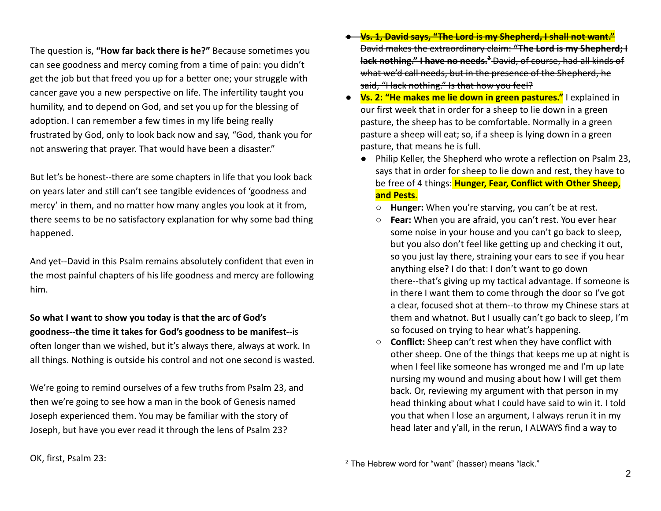The question is, **"How far back there is he?"** Because sometimes you can see goodness and mercy coming from a time of pain: you didn't get the job but that freed you up for a better one; your struggle with cancer gave you a new perspective on life. The infertility taught you humility, and to depend on God, and set you up for the blessing of adoption. I can remember a few times in my life being really frustrated by God, only to look back now and say, "God, thank you for not answering that prayer. That would have been a disaster."

But let's be honest--there are some chapters in life that you look back on years later and still can't see tangible evidences of 'goodness and mercy' in them, and no matter how many angles you look at it from, there seems to be no satisfactory explanation for why some bad thing happened.

And yet--David in this Psalm remains absolutely confident that even in the most painful chapters of his life goodness and mercy are following him.

**So what I want to show you today is that the arc of God's goodness--the time it takes for God's goodness to be manifest--**is often longer than we wished, but it's always there, always at work. In all things. Nothing is outside his control and not one second is wasted.

We're going to remind ourselves of a few truths from Psalm 23, and then we're going to see how a man in the book of Genesis named Joseph experienced them. You may be familiar with the story of Joseph, but have you ever read it through the lens of Psalm 23?

- **Vs. 1, David says, "The Lord is my Shepherd, I shall not want."** David makes the extraordinary claim: **"The Lord is my Shepherd; I lack nothing." I have no needs.<sup>2</sup>** David, of course, had all kinds of what we'd call needs, but in the presence of the Shepherd, he said, "I lack nothing." Is that how you feel?
- **Vs. 2: "He makes me lie down in green pastures."** I explained in our first week that in order for a sheep to lie down in a green pasture, the sheep has to be comfortable. Normally in a green pasture a sheep will eat; so, if a sheep is lying down in a green pasture, that means he is full.
	- Philip Keller, the Shepherd who wrote a reflection on Psalm 23, says that in order for sheep to lie down and rest, they have to be free of 4 things: **Hunger, Fear, Conflict with Other Sheep, and Pests**.
		- **Hunger:** When you're starving, you can't be at rest.
		- **Fear:** When you are afraid, you can't rest. You ever hear some noise in your house and you can't go back to sleep, but you also don't feel like getting up and checking it out, so you just lay there, straining your ears to see if you hear anything else? I do that: I don't want to go down there--that's giving up my tactical advantage. If someone is in there I want them to come through the door so I've got a clear, focused shot at them--to throw my Chinese stars at them and whatnot. But I usually can't go back to sleep, I'm so focused on trying to hear what's happening.
		- **Conflict:** Sheep can't rest when they have conflict with other sheep. One of the things that keeps me up at night is when I feel like someone has wronged me and I'm up late nursing my wound and musing about how I will get them back. Or, reviewing my argument with that person in my head thinking about what I could have said to win it. I told you that when I lose an argument, I always rerun it in my head later and y'all, in the rerun, I ALWAYS find a way to

<sup>&</sup>lt;sup>2</sup> The Hebrew word for "want" (hasser) means "lack."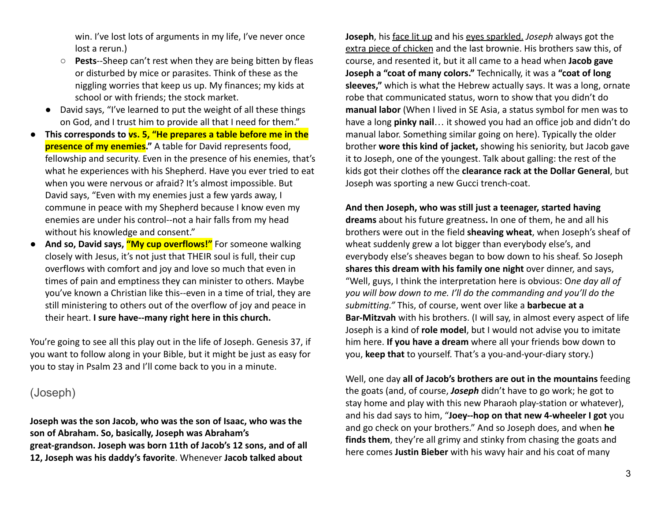win. I've lost lots of arguments in my life, I've never once lost a rerun.)

- **Pests**--Sheep can't rest when they are being bitten by fleas or disturbed by mice or parasites. Think of these as the niggling worries that keep us up. My finances; my kids at school or with friends; the stock market.
- David says, "I've learned to put the weight of all these things on God, and I trust him to provide all that I need for them."
- **This corresponds to vs. 5, "He prepares a table before me in the presence of my enemies."** A table for David represents food, fellowship and security. Even in the presence of his enemies, that's what he experiences with his Shepherd. Have you ever tried to eat when you were nervous or afraid? It's almost impossible. But David says, "Even with my enemies just a few yards away, I commune in peace with my Shepherd because I know even my enemies are under his control--not a hair falls from my head without his knowledge and consent."
- **And so, David says, "My cup overflows!"** For someone walking closely with Jesus, it's not just that THEIR soul is full, their cup overflows with comfort and joy and love so much that even in times of pain and emptiness they can minister to others. Maybe you've known a Christian like this--even in a time of trial, they are still ministering to others out of the overflow of joy and peace in their heart. **I sure have--many right here in this church.**

You're going to see all this play out in the life of Joseph. Genesis 37, if you want to follow along in your Bible, but it might be just as easy for you to stay in Psalm 23 and I'll come back to you in a minute.

# (Joseph)

**Joseph was the son Jacob, who was the son of Isaac, who was the son of Abraham. So, basically, Joseph was Abraham's great-grandson. Joseph was born 11th of Jacob's 12 sons, and of all 12, Joseph was his daddy's favorite**. Whenever **Jacob talked about**

**Joseph**, his face lit up and his eyes sparkled. *Joseph* always got the extra piece of chicken and the last brownie. His brothers saw this, of course, and resented it, but it all came to a head when **Jacob gave Joseph a "coat of many colors."** Technically, it was a **"coat of long sleeves,"** which is what the Hebrew actually says. It was a long, ornate robe that communicated status, worn to show that you didn't do **manual labor** (When I lived in SE Asia, a status symbol for men was to have a long **pinky nail**… it showed you had an office job and didn't do manual labor. Something similar going on here). Typically the older brother **wore this kind of jacket,** showing his seniority, but Jacob gave it to Joseph, one of the youngest. Talk about galling: the rest of the kids got their clothes off the **clearance rack at the Dollar General**, but Joseph was sporting a new Gucci trench-coat.

#### **And then Joseph, who was still just a teenager, started having**

**dreams** about his future greatness**.** In one of them, he and all his brothers were out in the field **sheaving wheat**, when Joseph's sheaf of wheat suddenly grew a lot bigger than everybody else's, and everybody else's sheaves began to bow down to his sheaf. So Joseph **shares this dream with his family one night** over dinner, and says, "Well, guys, I think the interpretation here is obvious: O*ne day all of you will bow down to me. I'll do the commanding and you'll do the submitting."* This, of course, went over like a **barbecue at a Bar-Mitzvah** with his brothers. (I will say, in almost every aspect of life Joseph is a kind of **role model**, but I would not advise you to imitate him here. **If you have a dream** where all your friends bow down to you, **keep that** to yourself. That's a you-and-your-diary story.)

Well, one day **all of Jacob's brothers are out in the mountains** feeding the goats (and, of course, *Joseph* didn't have to go work; he got to stay home and play with this new Pharaoh play-station or whatever), and his dad says to him, "**Joey--hop on that new 4-wheeler I got** you and go check on your brothers." And so Joseph does, and when **he finds them**, they're all grimy and stinky from chasing the goats and here comes **Justin Bieber** with his wavy hair and his coat of many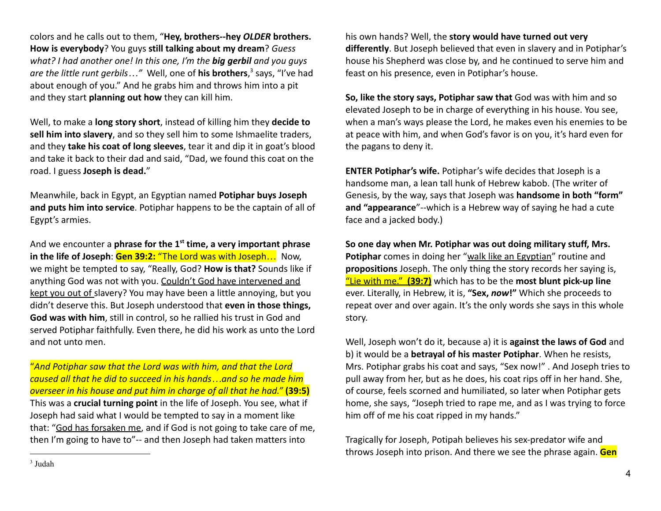colors and he calls out to them, "**Hey, brothers--hey** *OLDER* **brothers. How is everybody**? You guys **still talking about my dream**? *Guess what? I had another one! In this one, I'm the big gerbil and you guys are the little runt gerbils…"* Well, one of **his brothers**, 3 says, "I've had about enough of you." And he grabs him and throws him into a pit and they start **planning out how** they can kill him.

Well, to make a **long story short**, instead of killing him they **decide to sell him into slavery**, and so they sell him to some Ishmaelite traders, and they **take his coat of long sleeves**, tear it and dip it in goat's blood and take it back to their dad and said, "Dad, we found this coat on the road. I guess **Joseph is dead.**"

Meanwhile, back in Egypt, an Egyptian named **Potiphar buys Joseph and puts him into service**. Potiphar happens to be the captain of all of Egypt's armies.

And we encounter a **phrase for the 1st time, a very important phrase in the life of Joseph**: **Gen 39:2:** "The Lord was with Joseph… Now, we might be tempted to say, "Really, God? **How is that?** Sounds like if anything God was not with you. Couldn't God have intervened and kept you out of slavery? You may have been a little annoying, but you didn't deserve this. But Joseph understood that **even in those things, God was with him**, still in control, so he rallied his trust in God and served Potiphar faithfully. Even there, he did his work as unto the Lord and not unto men.

"*And Potiphar saw that the Lord was with him, and that the Lord caused all that he did to succeed in his hands…and so he made him overseer in his house and put him in charge of all that he had."* **(39:5)** This was a **crucial turning point** in the life of Joseph. You see, what if Joseph had said what I would be tempted to say in a moment like that: "God has forsaken me, and if God is not going to take care of me, then I'm going to have to"-- and then Joseph had taken matters into

his own hands? Well, the **story would have turned out very differently**. But Joseph believed that even in slavery and in Potiphar's house his Shepherd was close by, and he continued to serve him and feast on his presence, even in Potiphar's house.

**So, like the story says, Potiphar saw that** God was with him and so elevated Joseph to be in charge of everything in his house. You see, when a man's ways please the Lord, he makes even his enemies to be at peace with him, and when God's favor is on you, it's hard even for the pagans to deny it.

**ENTER Potiphar's wife.** Potiphar's wife decides that Joseph is a handsome man, a lean tall hunk of Hebrew kabob. (The writer of Genesis, by the way, says that Joseph was **handsome in both "form" and "appearance**"--which is a Hebrew way of saying he had a cute face and a jacked body.)

**So one day when Mr. Potiphar was out doing military stuff, Mrs. Potiphar** comes in doing her "walk like an Egyptian" routine and **propositions** Joseph. The only thing the story records her saying is, "Lie with me." **(39:7)** which has to be the **most blunt pick-up line** ever. Literally, in Hebrew, it is, **"Sex,** *now***!"** Which she proceeds to repeat over and over again. It's the only words she says in this whole story.

Well, Joseph won't do it, because a) it is **against the laws of God** and b) it would be a **betrayal of his master Potiphar**. When he resists, Mrs. Potiphar grabs his coat and says, "Sex now!" . And Joseph tries to pull away from her, but as he does, his coat rips off in her hand. She, of course, feels scorned and humiliated, so later when Potiphar gets home, she says, "Joseph tried to rape me, and as I was trying to force him off of me his coat ripped in my hands."

Tragically for Joseph, Potipah believes his sex-predator wife and throws Joseph into prison. And there we see the phrase again. **Gen**

<sup>3</sup> Judah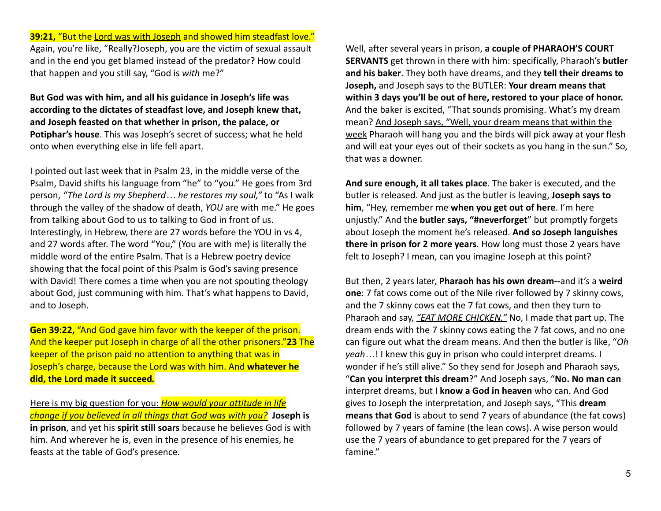**39:21,** "But the Lord was with Joseph and showed him steadfast love." Again, you're like, "Really?Joseph, you are the victim of sexual assault and in the end you get blamed instead of the predator? How could that happen and you still say, "God is *with* me?"

**But God was with him, and all his guidance in Joseph's life was according to the dictates of steadfast love, and Joseph knew that, and Joseph feasted on that whether in prison, the palace, or Potiphar's house**. This was Joseph's secret of success; what he held onto when everything else in life fell apart.

I pointed out last week that in Psalm 23, in the middle verse of the Psalm, David shifts his language from "he" to "you." He goes from 3rd person, *"The Lord is my Shepherd… he restores my soul,"* to "As I walk through the valley of the shadow of death, *YOU* are with me." He goes from talking about God to us to talking to God in front of us. Interestingly, in Hebrew, there are 27 words before the YOU in vs 4, and 27 words after. The word "You," (You are with me) is literally the middle word of the entire Psalm. That is a Hebrew poetry device showing that the focal point of this Psalm is God's saving presence with David! There comes a time when you are not spouting theology about God, just communing with him. That's what happens to David, and to Joseph.

**Gen 39:22,** "And God gave him favor with the keeper of the prison. And the keeper put Joseph in charge of all the other prisoners."**23** The keeper of the prison paid no attention to anything that was in Joseph's charge, because the Lord was with him. And **whatever he did, the Lord made it succeed***.*

Here is my big question for you: *How would your attitude in life change if you believed in all things that God was with you?* **Joseph is in prison**, and yet his **spirit still soars** because he believes God is with him. And wherever he is, even in the presence of his enemies, he feasts at the table of God's presence.

Well, after several years in prison, **a couple of PHARAOH'S COURT SERVANTS** get thrown in there with him: specifically, Pharaoh's **butler and his baker**. They both have dreams, and they **tell their dreams to Joseph,** and Joseph says to the BUTLER: **Your dream means that within 3 days you'll be out of here, restored to your place of honor.** And the baker is excited, "That sounds promising. What's my dream mean? And Joseph says, "Well, your dream means that within the week Pharaoh will hang you and the birds will pick away at your flesh and will eat your eyes out of their sockets as you hang in the sun." So, that was a downer.

**And sure enough, it all takes place**. The baker is executed, and the butler is released. And just as the butler is leaving, **Joseph says to him**, "Hey, remember me **when you get out of here**. I'm here unjustly." And the **butler says, "#neverforget**" but promptly forgets about Joseph the moment he's released. **And so Joseph languishes there in prison for 2 more years**. How long must those 2 years have felt to Joseph? I mean, can you imagine Joseph at this point?

But then, 2 years later, **Pharaoh has his own dream--**and it's a **weird one**: 7 fat cows come out of the Nile river followed by 7 skinny cows, and the 7 skinny cows eat the 7 fat cows, and then they turn to Pharaoh and say, *"EAT MORE CHICKEN."* No, I made that part up. The dream ends with the 7 skinny cows eating the 7 fat cows, and no one can figure out what the dream means. And then the butler is like, "*Oh yeah…*! I knew this guy in prison who could interpret dreams. I wonder if he's still alive." So they send for Joseph and Pharaoh says, "**Can you interpret this dream**?" And Joseph says, "**No. No man can** interpret dreams, but I **know a God in heaven** who can. And God gives to Joseph the interpretation, and Joseph says, "This **dream means that God** is about to send 7 years of abundance (the fat cows) followed by 7 years of famine (the lean cows). A wise person would use the 7 years of abundance to get prepared for the 7 years of famine."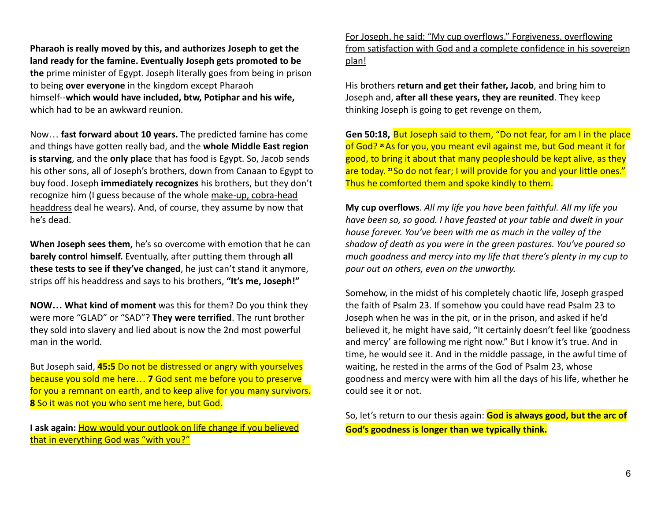**Pharaoh is really moved by this, and authorizes Joseph to get the land ready for the famine. Eventually Joseph gets promoted to be the** prime minister of Egypt. Joseph literally goes from being in prison to being **over everyone** in the kingdom except Pharaoh himself--**which would have included, btw, Potiphar and his wife,** which had to be an awkward reunion.

Now… **fast forward about 10 years.** The predicted famine has come and things have gotten really bad, and the **whole Middle East region is starving**, and the **only plac**e that has food is Egypt. So, Jacob sends his other sons, all of Joseph's brothers, down from Canaan to Egypt to buy food. Joseph **immediately recognizes** his brothers, but they don't recognize him (I guess because of the whole make-up, cobra-head headdress deal he wears). And, of course, they assume by now that he's dead.

**When Joseph sees them,** he's so overcome with emotion that he can **barely control himself.** Eventually, after putting them through **all these tests to see if they've changed**, he just can't stand it anymore, strips off his headdress and says to his brothers, **"It's me, Joseph!"**

**NOW… What kind of moment** was this for them? Do you think they were more "GLAD" or "SAD"? **They were terrified**. The runt brother they sold into slavery and lied about is now the 2nd most powerful man in the world.

But Joseph said, **45:5** Do not be distressed or angry with yourselves because you sold me here… **7** God sent me before you to preserve for you a remnant on earth, and to keep alive for you many survivors. **8** So it was not you who sent me here, but God.

**I ask again:** How would your outlook on life change if you believed that in everything God was "with you?"

For Joseph, he said: "My cup overflows." Forgiveness, overflowing from satisfaction with God and a complete confidence in his sovereign plan!

His brothers **return and get their father, Jacob**, and bring him to Joseph and, **after all these years, they are reunited**. They keep thinking Joseph is going to get revenge on them,

**Gen 50:18,** But Joseph said to them, "Do not fear, for am I in the place of God? **<sup>20</sup>**As for you, you meant evil against me, but God meant it for good, to bring it about that many peopleshould be kept alive, as they are today. <sup>21</sup> So do not fear; I will provide for you and your little ones." Thus he comforted them and spoke kindly to them.

**My cup overflows**. *All my life you have been faithful. All my life you have been so, so good. I have feasted at your table and dwelt in your house forever. You've been with me as much in the valley of the shadow of death as you were in the green pastures. You've poured so much goodness and mercy into my life that there's plenty in my cup to pour out on others, even on the unworthy.*

Somehow, in the midst of his completely chaotic life, Joseph grasped the faith of Psalm 23. If somehow you could have read Psalm 23 to Joseph when he was in the pit, or in the prison, and asked if he'd believed it, he might have said, "It certainly doesn't feel like 'goodness and mercy' are following me right now." But I know it's true. And in time, he would see it. And in the middle passage, in the awful time of waiting, he rested in the arms of the God of Psalm 23, whose goodness and mercy were with him all the days of his life, whether he could see it or not.

So, let's return to our thesis again: **God is always good, but the arc of God's goodness is longer than we typically think.**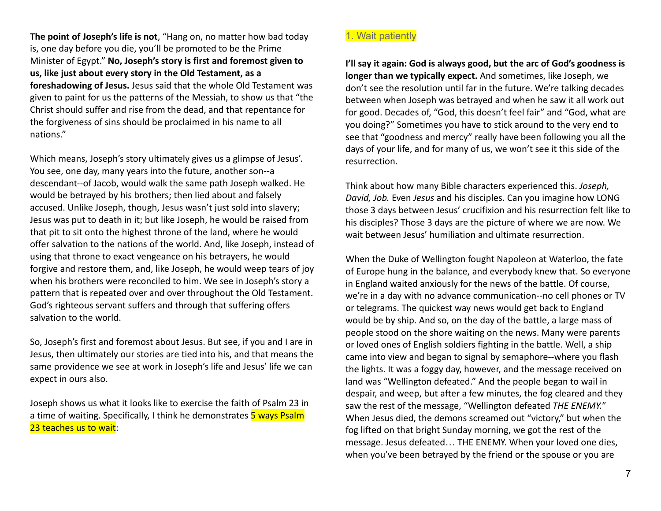**The point of Joseph's life is not**, "Hang on, no matter how bad today is, one day before you die, you'll be promoted to be the Prime Minister of Egypt." **No, Joseph's story is first and foremost given to us, like just about every story in the Old Testament, as a foreshadowing of Jesus.** Jesus said that the whole Old Testament was given to paint for us the patterns of the Messiah, to show us that "the Christ should suffer and rise from the dead, and that repentance for the forgiveness of sins should be proclaimed in his name to all nations."

Which means, Joseph's story ultimately gives us a glimpse of Jesus'. You see, one day, many years into the future, another son--a descendant--of Jacob, would walk the same path Joseph walked. He would be betrayed by his brothers; then lied about and falsely accused. Unlike Joseph, though, Jesus wasn't just sold into slavery; Jesus was put to death in it; but like Joseph, he would be raised from that pit to sit onto the highest throne of the land, where he would offer salvation to the nations of the world. And, like Joseph, instead of using that throne to exact vengeance on his betrayers, he would forgive and restore them, and, like Joseph, he would weep tears of joy when his brothers were reconciled to him. We see in Joseph's story a pattern that is repeated over and over throughout the Old Testament. God's righteous servant suffers and through that suffering offers salvation to the world.

So, Joseph's first and foremost about Jesus. But see, if you and I are in Jesus, then ultimately our stories are tied into his, and that means the same providence we see at work in Joseph's life and Jesus' life we can expect in ours also.

Joseph shows us what it looks like to exercise the faith of Psalm 23 in a time of waiting. Specifically, I think he demonstrates **5 ways Psalm** 23 teaches us to wait:

#### 1. Wait patiently

**I'll say it again: God is always good, but the arc of God's goodness is longer than we typically expect.** And sometimes, like Joseph, we don't see the resolution until far in the future. We're talking decades between when Joseph was betrayed and when he saw it all work out for good. Decades of, "God, this doesn't feel fair" and "God, what are you doing?" Sometimes you have to stick around to the very end to see that "goodness and mercy" really have been following you all the days of your life, and for many of us, we won't see it this side of the resurrection.

Think about how many Bible characters experienced this. *Joseph, David, Job.* Even *Jesus* and his disciples. Can you imagine how LONG those 3 days between Jesus' crucifixion and his resurrection felt like to his disciples? Those 3 days are the picture of where we are now. We wait between Jesus' humiliation and ultimate resurrection.

When the Duke of Wellington fought Napoleon at Waterloo, the fate of Europe hung in the balance, and everybody knew that. So everyone in England waited anxiously for the news of the battle. Of course, we're in a day with no advance communication--no cell phones or TV or telegrams. The quickest way news would get back to England would be by ship. And so, on the day of the battle, a large mass of people stood on the shore waiting on the news. Many were parents or loved ones of English soldiers fighting in the battle. Well, a ship came into view and began to signal by semaphore--where you flash the lights. It was a foggy day, however, and the message received on land was "Wellington defeated." And the people began to wail in despair, and weep, but after a few minutes, the fog cleared and they saw the rest of the message, "Wellington defeated *THE ENEMY.*" When Jesus died, the demons screamed out "victory," but when the fog lifted on that bright Sunday morning, we got the rest of the message. Jesus defeated… THE ENEMY. When your loved one dies, when you've been betrayed by the friend or the spouse or you are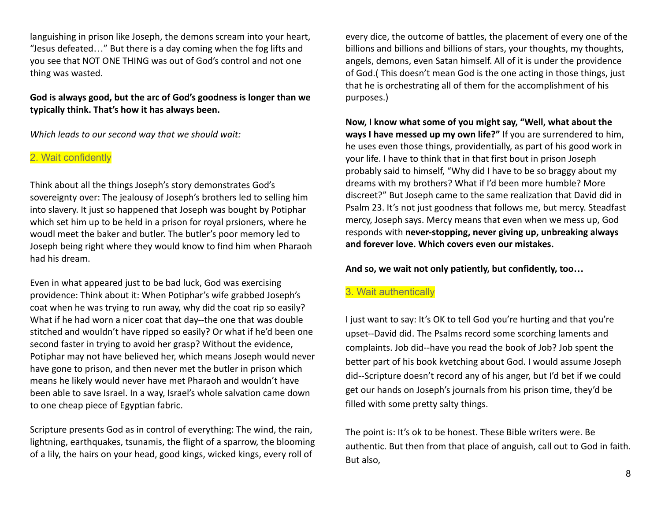languishing in prison like Joseph, the demons scream into your heart, "Jesus defeated…" But there is a day coming when the fog lifts and you see that NOT ONE THING was out of God's control and not one thing was wasted.

### **God is always good, but the arc of God's goodness is longer than we typically think. That's how it has always been.**

*Which leads to our second way that we should wait:*

### 2. Wait confidently

Think about all the things Joseph's story demonstrates God's sovereignty over: The jealousy of Joseph's brothers led to selling him into slavery. It just so happened that Joseph was bought by Potiphar which set him up to be held in a prison for royal prsioners, where he woudl meet the baker and butler. The butler's poor memory led to Joseph being right where they would know to find him when Pharaoh had his dream.

Even in what appeared just to be bad luck, God was exercising providence: Think about it: When Potiphar's wife grabbed Joseph's coat when he was trying to run away, why did the coat rip so easily? What if he had worn a nicer coat that day--the one that was double stitched and wouldn't have ripped so easily? Or what if he'd been one second faster in trying to avoid her grasp? Without the evidence, Potiphar may not have believed her, which means Joseph would never have gone to prison, and then never met the butler in prison which means he likely would never have met Pharaoh and wouldn't have been able to save Israel. In a way, Israel's whole salvation came down to one cheap piece of Egyptian fabric.

Scripture presents God as in control of everything: The wind, the rain, lightning, earthquakes, tsunamis, the flight of a sparrow, the blooming of a lily, the hairs on your head, good kings, wicked kings, every roll of

every dice, the outcome of battles, the placement of every one of the billions and billions and billions of stars, your thoughts, my thoughts, angels, demons, even Satan himself. All of it is under the providence of God.( This doesn't mean God is the one acting in those things, just that he is orchestrating all of them for the accomplishment of his purposes.)

**Now, I know what some of you might say, "Well, what about the ways I have messed up my own life?"** If you are surrendered to him, he uses even those things, providentially, as part of his good work in your life. I have to think that in that first bout in prison Joseph probably said to himself, "Why did I have to be so braggy about my dreams with my brothers? What if I'd been more humble? More discreet?" But Joseph came to the same realization that David did in Psalm 23. It's not just goodness that follows me, but mercy. Steadfast mercy, Joseph says. Mercy means that even when we mess up, God responds with **never-stopping, never giving up, unbreaking always and forever love. Which covers even our mistakes.**

**And so, we wait not only patiently, but confidently, too…**

### 3. Wait authentically

I just want to say: It's OK to tell God you're hurting and that you're upset--David did. The Psalms record some scorching laments and complaints. Job did--have you read the book of Job? Job spent the better part of his book kvetching about God. I would assume Joseph did--Scripture doesn't record any of his anger, but I'd bet if we could get our hands on Joseph's journals from his prison time, they'd be filled with some pretty salty things.

The point is: It's ok to be honest. These Bible writers were. Be authentic. But then from that place of anguish, call out to God in faith. But also,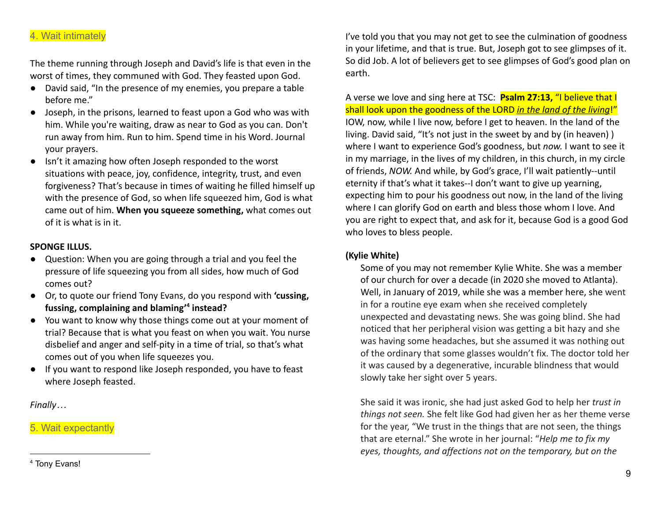### 4. Wait intimately

The theme running through Joseph and David's life is that even in the worst of times, they communed with God. They feasted upon God.

- David said, "In the presence of my enemies, you prepare a table before me."
- Joseph, in the prisons, learned to feast upon a God who was with him. While you're waiting, draw as near to God as you can. Don't run away from him. Run to him. Spend time in his Word. Journal your prayers.
- Isn't it amazing how often Joseph responded to the worst situations with peace, joy, confidence, integrity, trust, and even forgiveness? That's because in times of waiting he filled himself up with the presence of God, so when life squeezed him, God is what came out of him. **When you squeeze something,** what comes out of it is what is in it.

#### **SPONGE ILLUS.**

- Question: When you are going through a trial and you feel the pressure of life squeezing you from all sides, how much of God comes out?
- Or, to quote our friend Tony Evans, do you respond with **'cussing, fussing, complaining and blaming' 4 instead?**
- You want to know why those things come out at your moment of trial? Because that is what you feast on when you wait. You nurse disbelief and anger and self-pity in a time of trial, so that's what comes out of you when life squeezes you.
- If you want to respond like Joseph responded, you have to feast where Joseph feasted.

*Finally…*

5. Wait expectantly

I've told you that you may not get to see the culmination of goodness in your lifetime, and that is true. But, Joseph got to see glimpses of it. So did Job. A lot of believers get to see glimpses of God's good plan on earth.

A verse we love and sing here at TSC: **Psalm 27:13,** "I believe that I shall look upon the goodness of the LORD *in the land of the living*!" IOW, now, while I live now, before I get to heaven. In the land of the living. David said, "It's not just in the sweet by and by (in heaven) ) where I want to experience God's goodness, but *now.* I want to see it in my marriage, in the lives of my children, in this church, in my circle of friends, *NOW.* And while, by God's grace, I'll wait patiently--until eternity if that's what it takes--I don't want to give up yearning, expecting him to pour his goodness out now, in the land of the living where I can glorify God on earth and bless those whom I love. And you are right to expect that, and ask for it, because God is a good God who loves to bless people.

#### **(Kylie White)**

Some of you may not remember Kylie White. She was a member of our church for over a decade (in 2020 she moved to Atlanta). Well, in January of 2019, while she was a member here, she went in for a routine eye exam when she received completely unexpected and devastating news. She was going blind. She had noticed that her peripheral vision was getting a bit hazy and she was having some headaches, but she assumed it was nothing out of the ordinary that some glasses wouldn't fix. The doctor told her it was caused by a degenerative, incurable blindness that would slowly take her sight over 5 years.

She said it was ironic, she had just asked God to help her *trust in things not seen.* She felt like God had given her as her theme verse for the year, "We trust in the things that are not seen, the things that are eternal." She wrote in her journal: "*Help me to fix my eyes, thoughts, and affections not on the temporary, but on the*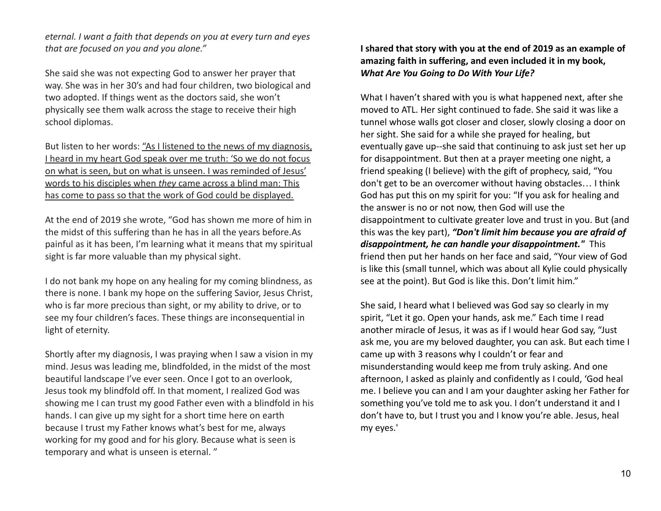*eternal. I want a faith that depends on you at every turn and eyes that are focused on you and you alone."*

She said she was not expecting God to answer her prayer that way. She was in her 30's and had four children, two biological and two adopted. If things went as the doctors said, she won't physically see them walk across the stage to receive their high school diplomas.

But listen to her words: "As I listened to the news of my diagnosis, I heard in my heart God speak over me truth: 'So we do not focus on what is seen, but on what is unseen. I was reminded of Jesus' words to his disciples when *they* came across a blind man: This has come to pass so that the work of God could be displayed.

At the end of 2019 she wrote, "God has shown me more of him in the midst of this suffering than he has in all the years before.As painful as it has been, I'm learning what it means that my spiritual sight is far more valuable than my physical sight.

I do not bank my hope on any healing for my coming blindness, as there is none. I bank my hope on the suffering Savior, Jesus Christ, who is far more precious than sight, or my ability to drive, or to see my four children's faces. These things are inconsequential in light of eternity.

Shortly after my diagnosis, I was praying when I saw a vision in my mind. Jesus was leading me, blindfolded, in the midst of the most beautiful landscape I've ever seen. Once I got to an overlook, Jesus took my blindfold off. In that moment, I realized God was showing me I can trust my good Father even with a blindfold in his hands. I can give up my sight for a short time here on earth because I trust my Father knows what's best for me, always working for my good and for his glory. Because what is seen is temporary and what is unseen is eternal. "

**I shared that story with you at the end of 2019 as an example of amazing faith in suffering, and even included it in my book,** *What Are You Going to Do With Your Life?*

What I haven't shared with you is what happened next, after she moved to ATL. Her sight continued to fade. She said it was like a tunnel whose walls got closer and closer, slowly closing a door on her sight. She said for a while she prayed for healing, but eventually gave up--she said that continuing to ask just set her up for disappointment. But then at a prayer meeting one night, a friend speaking (I believe) with the gift of prophecy, said, "You don't get to be an overcomer without having obstacles… I think God has put this on my spirit for you: "If you ask for healing and the answer is no or not now, then God will use the disappointment to cultivate greater love and trust in you. But (and this was the key part), *"Don't limit him because you are afraid of disappointment, he can handle your disappointment."* This friend then put her hands on her face and said, "Your view of God is like this (small tunnel, which was about all Kylie could physically see at the point). But God is like this. Don't limit him."

She said, I heard what I believed was God say so clearly in my spirit, "Let it go. Open your hands, ask me." Each time I read another miracle of Jesus, it was as if I would hear God say, "Just ask me, you are my beloved daughter, you can ask. But each time I came up with 3 reasons why I couldn't or fear and misunderstanding would keep me from truly asking. And one afternoon, I asked as plainly and confidently as I could, 'God heal me. I believe you can and I am your daughter asking her Father for something you've told me to ask you. I don't understand it and I don't have to, but I trust you and I know you're able. Jesus, heal my eyes.'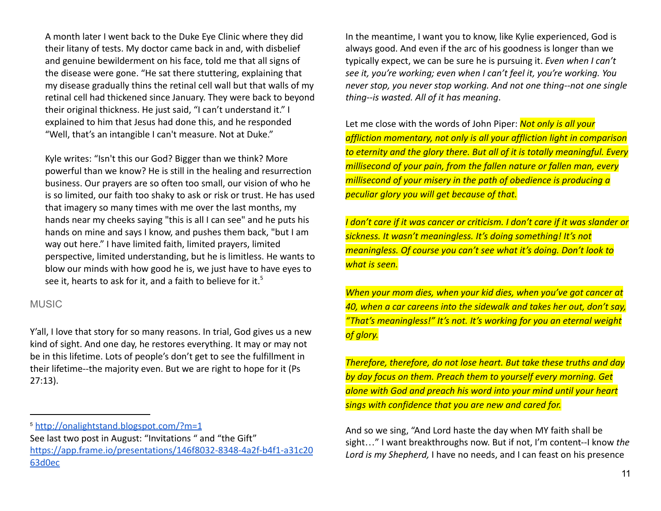A month later I went back to the Duke Eye Clinic where they did their litany of tests. My doctor came back in and, with disbelief and genuine bewilderment on his face, told me that all signs of the disease were gone. "He sat there stuttering, explaining that my disease gradually thins the retinal cell wall but that walls of my retinal cell had thickened since January. They were back to beyond their original thickness. He just said, "I can't understand it." I explained to him that Jesus had done this, and he responded "Well, that's an intangible I can't measure. Not at Duke."

Kyle writes: "Isn't this our God? Bigger than we think? More powerful than we know? He is still in the healing and resurrection business. Our prayers are so often too small, our vision of who he is so limited, our faith too shaky to ask or risk or trust. He has used that imagery so many times with me over the last months, my hands near my cheeks saying "this is all I can see" and he puts his hands on mine and says I know, and pushes them back, "but I am way out here." I have limited faith, limited prayers, limited perspective, limited understanding, but he is limitless. He wants to blow our minds with how good he is, we just have to have eyes to see it, hearts to ask for it, and a faith to believe for it.<sup>5</sup>

### **MUSIC**

Y'all, I love that story for so many reasons. In trial, God gives us a new kind of sight. And one day, he restores everything. It may or may not be in this lifetime. Lots of people's don't get to see the fulfillment in their lifetime--the majority even. But we are right to hope for it (Ps 27:13).

In the meantime, I want you to know, like Kylie experienced, God is always good. And even if the arc of his goodness is longer than we typically expect, we can be sure he is pursuing it. *Even when I can't see it, you're working; even when I can't feel it, you're working. You never stop, you never stop working. And not one thing--not one single thing--is wasted. All of it has meaning*.

Let me close with the words of John Piper: *Not only is all your affliction momentary, not only is all your affliction light in comparison to eternity and the glory there. But all of it is totally meaningful. Every millisecond of your pain, from the fallen nature or fallen man, every millisecond of your misery in the path of obedience is producing a peculiar glory you will get because of that.*

*I don't care if it was cancer or criticism. I don't care if it was slander or sickness. It wasn't meaningless. It's doing something! It's not meaningless. Of course you can't see what it's doing. Don't look to what is seen.*

*When your mom dies, when your kid dies, when you've got cancer at 40, when a car careens into the sidewalk and takes her out, don't say, "That's meaningless!" It's not. It's working for you an eternal weight of glory.*

*Therefore, therefore, do not lose heart. But take these truths and day by day focus on them. Preach them to yourself every morning. Get alone with God and preach his word into your mind until your heart sings with confidence that you are new and cared for.*

And so we sing, "And Lord haste the day when MY faith shall be sight…" I want breakthroughs now. But if not, I'm content--I know *the Lord is my Shepherd,* I have no needs, and I can feast on his presence

<sup>5</sup> <http://onalightstand.blogspot.com/?m=1>

See last two post in August: "Invitations " and "the Gift" [https://app.frame.io/presentations/146f8032-8348-4a2f-b4f1-a31c20](https://app.frame.io/presentations/146f8032-8348-4a2f-b4f1-a31c2063d0ec) [63d0ec](https://app.frame.io/presentations/146f8032-8348-4a2f-b4f1-a31c2063d0ec)